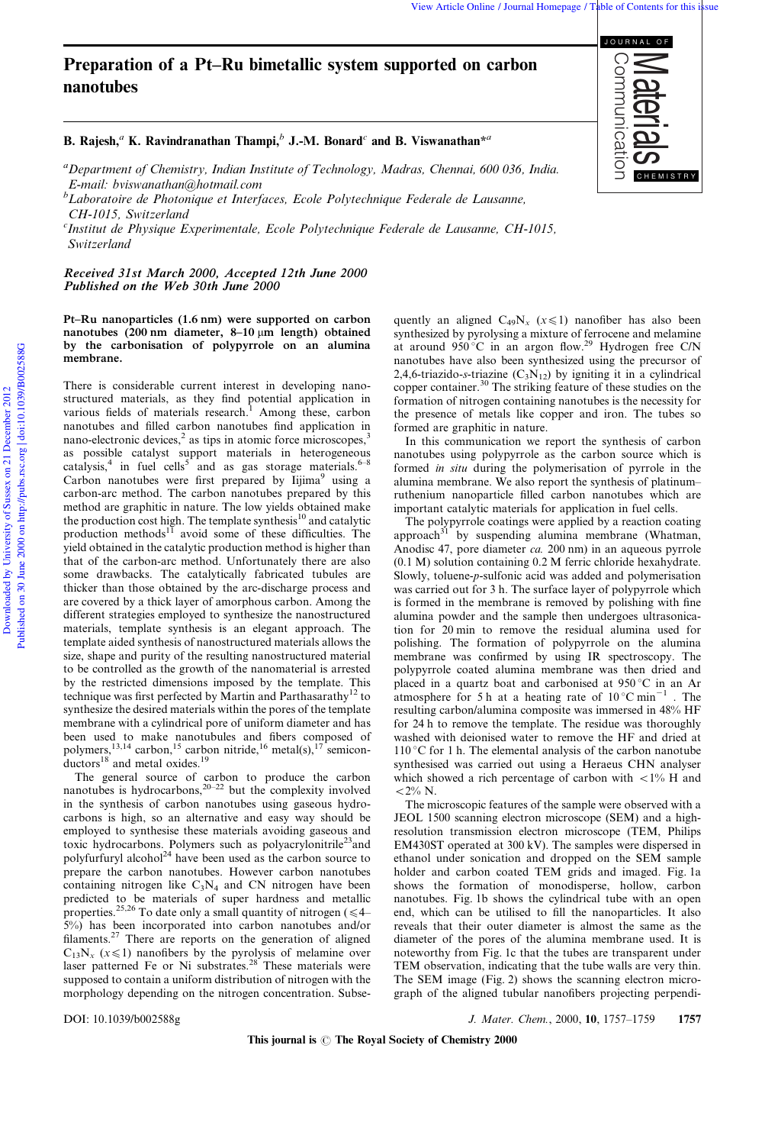# Preparation of a Pt-Ru bimetallic system supported on carbon nanotubes

# B. Rajesh,<sup>a</sup> K. Ravindranathan Thampi,<sup>b</sup> J.-M. Bonard<sup>c</sup> and B. Viswanathan<sup>\*a</sup>

<sup>a</sup>Department of Chemistry, Indian Institute of Technology, Madras, Chennai, 600 036, India. E-mail: bviswanathan@hotmail.com

 ${}^b$ Laboratoire de Photonique et Interfaces, Ecole Polytechnique Federale de Lausanne, CH-1015, Switzerland

<sup>c</sup>Institut de Physique Experimentale, Ecole Polytechnique Federale de Lausanne, CH-1015, Switzerland

Received 31st March 2000, Accepted 12th June 2000 Published on the Web 30th June 2000

#### Pt-Ru nanoparticles (1.6 nm) were supported on carbon nanotubes (200 nm diameter, 8-10  $\mu$ m length) obtained by the carbonisation of polypyrrole on an alumina membrane.

There is considerable current interest in developing nanostructured materials, as they find potential application in various fields of materials research.<sup>1</sup> Among these, carbon nanotubes and filled carbon nanotubes find application in nano-electronic devices, $2$  as tips in atomic force microscopes, $3$ as possible catalyst support materials in heterogeneous catalysis,<sup>4</sup> in fuel cells<sup>5</sup> and as gas storage materials.<sup>6-8</sup> Carbon nanotubes were first prepared by Iijima<sup>9</sup> using a carbon-arc method. The carbon nanotubes prepared by this method are graphitic in nature. The low yields obtained make the production cost high. The template synthesis $10$  and catalytic production methods<sup>11</sup> avoid some of these difficulties. The yield obtained in the catalytic production method is higher than that of the carbon-arc method. Unfortunately there are also some drawbacks. The catalytically fabricated tubules are thicker than those obtained by the arc-discharge process and are covered by a thick layer of amorphous carbon. Among the different strategies employed to synthesize the nanostructured materials, template synthesis is an elegant approach. The template aided synthesis of nanostructured materials allows the size, shape and purity of the resulting nanostructured material to be controlled as the growth of the nanomaterial is arrested by the restricted dimensions imposed by the template. This technique was first perfected by Martin and Parthasarathy<sup>12</sup> to synthesize the desired materials within the pores of the template membrane with a cylindrical pore of uniform diameter and has been used to make nanotubules and fibers composed of polymers,  $^{13,14}$  carbon,  $^{15}$  carbon nitride,  $^{16}$  metal(s),  $^{17}$  semiconductors $^{18}$  and metal oxides.<sup>19</sup>

The general source of carbon to produce the carbon nanotubes is hydrocarbons, $20-22$  but the complexity involved in the synthesis of carbon nanotubes using gaseous hydrocarbons is high, so an alternative and easy way should be employed to synthesise these materials avoiding gaseous and toxic hydrocarbons. Polymers such as polyacrylonitrile<sup>23</sup>and polyfurfuryl alcohol<sup>24</sup> have been used as the carbon source to prepare the carbon nanotubes. However carbon nanotubes containing nitrogen like  $C_3N_4$  and CN nitrogen have been predicted to be materials of super hardness and metallic properties.<sup>25,26</sup> To date only a small quantity of nitrogen ( $\leq 4$ 5%) has been incorporated into carbon nanotubes and/or filaments.<sup>27</sup> There are reports on the generation of aligned  $C_{13}N_x$  ( $x \le 1$ ) nanofibers by the pyrolysis of melamine over laser patterned Fe or Ni substrates.<sup>28</sup> These materials were supposed to contain a uniform distribution of nitrogen with the morphology depending on the nitrogen concentration. Subsequently an aligned  $C_{49}N_x$  ( $x \le 1$ ) nanofiber has also been synthesized by pyrolysing a mixture of ferrocene and melamine at around  $950^{\circ}$ C in an argon flow.<sup>29</sup> Hydrogen free C/N nanotubes have also been synthesized using the precursor of 2,4,6-triazido-s-triazine  $(C_3N_{12})$  by igniting it in a cylindrical copper container.<sup>30</sup> The striking feature of these studies on the formation of nitrogen containing nanotubes is the necessity for the presence of metals like copper and iron. The tubes so formed are graphitic in nature.

In this communication we report the synthesis of carbon nanotubes using polypyrrole as the carbon source which is formed in situ during the polymerisation of pyrrole in the alumina membrane. We also report the synthesis of platinumruthenium nanoparticle filled carbon nanotubes which are important catalytic materials for application in fuel cells.

The polypyrrole coatings were applied by a reaction coating approach<sup>31</sup> by suspending alumina membrane (Whatman, Anodisc 47, pore diameter ca. 200 nm) in an aqueous pyrrole (0.1 M) solution containing 0.2 M ferric chloride hexahydrate. Slowly, toluene-p-sulfonic acid was added and polymerisation was carried out for 3 h. The surface layer of polypyrrole which is formed in the membrane is removed by polishing with fine alumina powder and the sample then undergoes ultrasonication for 20 min to remove the residual alumina used for polishing. The formation of polypyrrole on the alumina membrane was confirmed by using IR spectroscopy. The polypyrrole coated alumina membrane was then dried and placed in a quartz boat and carbonised at  $950\,^{\circ}\text{C}$  in an Ar atmosphere for 5 h at a heating rate of  $10^{\circ}$ C min<sup>-1</sup>. The resulting carbon/alumina composite was immersed in 48% HF for 24 h to remove the template. The residue was thoroughly washed with deionised water to remove the HF and dried at  $110\,^{\circ}$ C for 1 h. The elemental analysis of the carbon nanotube synthesised was carried out using a Heraeus CHN analyser which showed a rich percentage of carbon with  $\langle 1\% \text{ H} \rangle$  and  $\rm < 2\%~N$ 

The microscopic features of the sample were observed with a JEOL 1500 scanning electron microscope (SEM) and a highresolution transmission electron microscope (TEM, Philips EM430ST operated at 300 kV). The samples were dispersed in ethanol under sonication and dropped on the SEM sample holder and carbon coated TEM grids and imaged. Fig. 1a shows the formation of monodisperse, hollow, carbon nanotubes. Fig. 1b shows the cylindrical tube with an open end, which can be utilised to fill the nanoparticles. It also reveals that their outer diameter is almost the same as the diameter of the pores of the alumina membrane used. It is noteworthy from Fig. 1c that the tubes are transparent under TEM observation, indicating that the tube walls are very thin. The SEM image (Fig. 2) shows the scanning electron micrograph of the aligned tubular nanofibers projecting perpendi-

DOI: 10.1039/b002588g J. Mater. Chem., 2000, 10, 1757±1759 1757

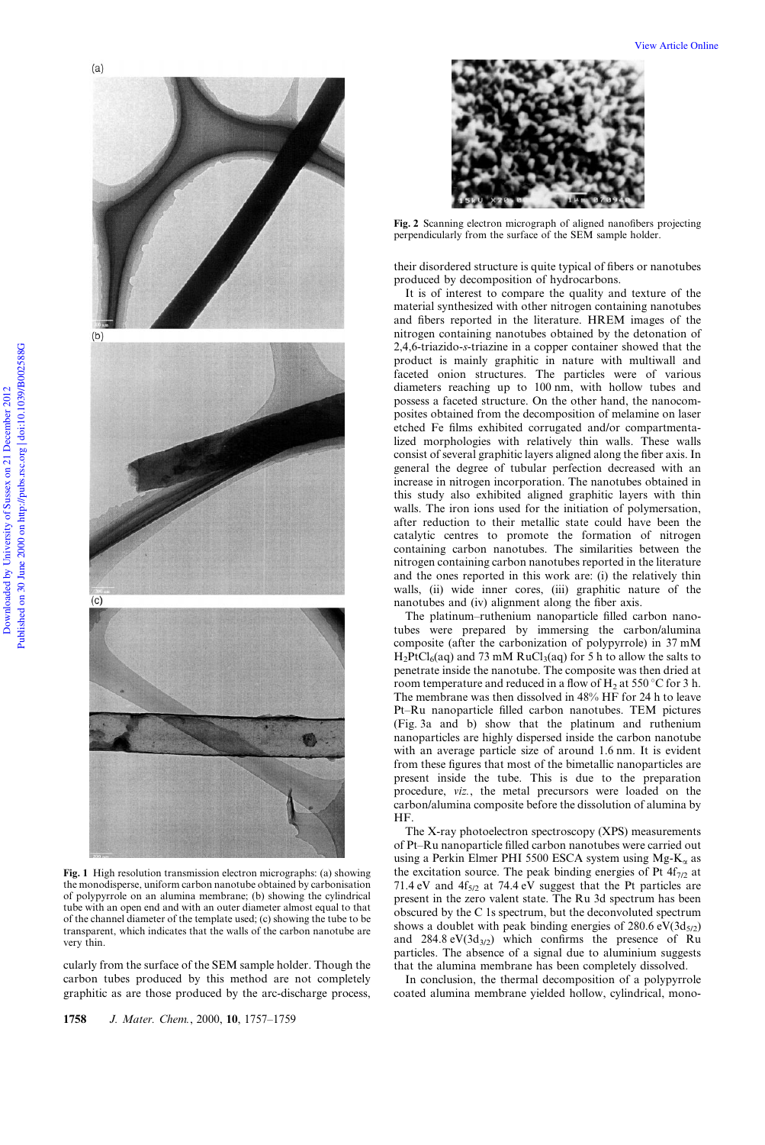

Fig. 1 High resolution transmission electron micrographs: (a) showing the monodisperse, uniform carbon nanotube obtained by carbonisation of polypyrrole on an alumina membrane; (b) showing the cylindrical tube with an open end and with an outer diameter almost equal to that of the channel diameter of the template used; (c) showing the tube to be transparent, which indicates that the walls of the carbon nanotube are very thin.

cularly from the surface of the SEM sample holder. Though the carbon tubes produced by this method are not completely graphitic as are those produced by the arc-discharge process,

1758 J. Mater. Chem., 2000, 10, 1757-1759

View Article Online



Fig. 2 Scanning electron micrograph of aligned nanofibers projecting perpendicularly from the surface of the SEM sample holder.

their disordered structure is quite typical of fibers or nanotubes produced by decomposition of hydrocarbons.

It is of interest to compare the quality and texture of the material synthesized with other nitrogen containing nanotubes and fibers reported in the literature. HREM images of the nitrogen containing nanotubes obtained by the detonation of 2,4,6-triazido-s-triazine in a copper container showed that the product is mainly graphitic in nature with multiwall and faceted onion structures. The particles were of various diameters reaching up to 100 nm, with hollow tubes and possess a faceted structure. On the other hand, the nanocomposites obtained from the decomposition of melamine on laser etched Fe films exhibited corrugated and/or compartmentalized morphologies with relatively thin walls. These walls consist of several graphitic layers aligned along the fiber axis. In general the degree of tubular perfection decreased with an increase in nitrogen incorporation. The nanotubes obtained in this study also exhibited aligned graphitic layers with thin walls. The iron ions used for the initiation of polymersation, after reduction to their metallic state could have been the catalytic centres to promote the formation of nitrogen containing carbon nanotubes. The similarities between the nitrogen containing carbon nanotubes reported in the literature and the ones reported in this work are: (i) the relatively thin walls, (ii) wide inner cores, (iii) graphitic nature of the nanotubes and (iv) alignment along the fiber axis.

The platinum-ruthenium nanoparticle filled carbon nanotubes were prepared by immersing the carbon/alumina composite (after the carbonization of polypyrrole) in 37 mM  $H_2PtCl_6(aq)$  and 73 mM RuCl<sub>3</sub>(aq) for 5 h to allow the salts to penetrate inside the nanotube. The composite was then dried at room temperature and reduced in a flow of H<sub>2</sub> at 550  $\degree$ C for 3 h. The membrane was then dissolved in 48% HF for 24 h to leave Pt-Ru nanoparticle filled carbon nanotubes. TEM pictures (Fig. 3a and b) show that the platinum and ruthenium nanoparticles are highly dispersed inside the carbon nanotube with an average particle size of around 1.6 nm. It is evident from these figures that most of the bimetallic nanoparticles are present inside the tube. This is due to the preparation procedure, viz., the metal precursors were loaded on the carbon/alumina composite before the dissolution of alumina by HF.

The X-ray photoelectron spectroscopy (XPS) measurements of Pt-Ru nanoparticle filled carbon nanotubes were carried out using a Perkin Elmer PHI 5500 ESCA system using  $Mg-K_{\alpha}$  as the excitation source. The peak binding energies of Pt  $4f_{7/2}$  at 71.4 eV and  $4f_{5/2}$  at 74.4 eV suggest that the Pt particles are present in the zero valent state. The Ru 3d spectrum has been obscured by the C 1s spectrum, but the deconvoluted spectrum shows a doublet with peak binding energies of  $280.6 \text{ eV}(3d_{5/2})$ and  $284.8 \text{ eV}(3d_{3/2})$  which confirms the presence of Ru particles. The absence of a signal due to aluminium suggests that the alumina membrane has been completely dissolved.

In conclusion, the thermal decomposition of a polypyrrole coated alumina membrane yielded hollow, cylindrical, mono-